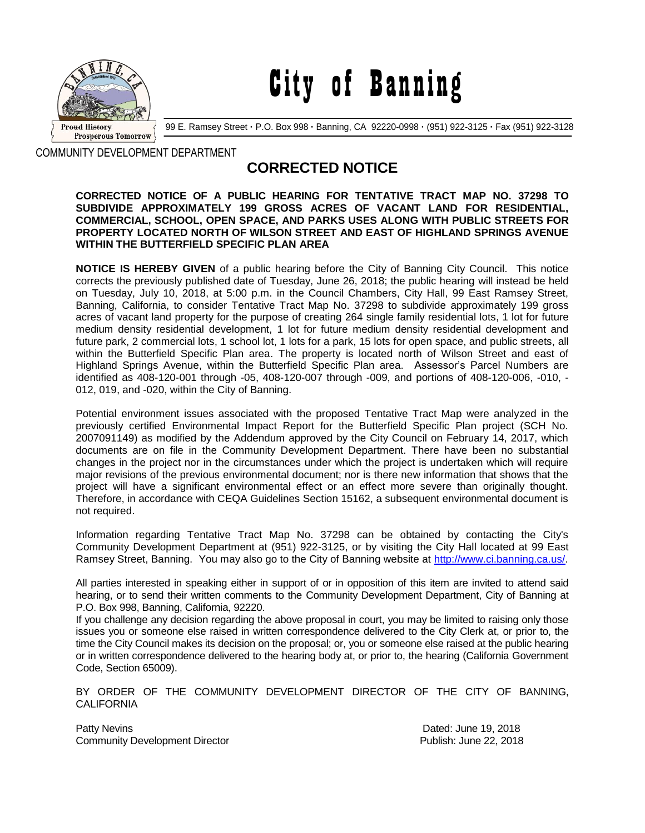

City of Banning

99 E. Ramsey Street **·** P.O. Box 998 **·** Banning, CA 92220-0998 **·** (951) 922-3125 **·** Fax (951) 922-3128

COMMUNITY DEVELOPMENT DEPARTMENT

## **CORRECTED NOTICE**

## **CORRECTED NOTICE OF A PUBLIC HEARING FOR TENTATIVE TRACT MAP NO. 37298 TO SUBDIVIDE APPROXIMATELY 199 GROSS ACRES OF VACANT LAND FOR RESIDENTIAL, COMMERCIAL, SCHOOL, OPEN SPACE, AND PARKS USES ALONG WITH PUBLIC STREETS FOR PROPERTY LOCATED NORTH OF WILSON STREET AND EAST OF HIGHLAND SPRINGS AVENUE WITHIN THE BUTTERFIELD SPECIFIC PLAN AREA**

**NOTICE IS HEREBY GIVEN** of a public hearing before the City of Banning City Council. This notice corrects the previously published date of Tuesday, June 26, 2018; the public hearing will instead be held on Tuesday, July 10, 2018, at 5:00 p.m. in the Council Chambers, City Hall, 99 East Ramsey Street, Banning, California, to consider Tentative Tract Map No. 37298 to subdivide approximately 199 gross acres of vacant land property for the purpose of creating 264 single family residential lots, 1 lot for future medium density residential development, 1 lot for future medium density residential development and future park, 2 commercial lots, 1 school lot, 1 lots for a park, 15 lots for open space, and public streets, all within the Butterfield Specific Plan area. The property is located north of Wilson Street and east of Highland Springs Avenue, within the Butterfield Specific Plan area. Assessor's Parcel Numbers are identified as 408-120-001 through -05, 408-120-007 through -009, and portions of 408-120-006, -010, - 012, 019, and -020, within the City of Banning.

Potential environment issues associated with the proposed Tentative Tract Map were analyzed in the previously certified Environmental Impact Report for the Butterfield Specific Plan project (SCH No. 2007091149) as modified by the Addendum approved by the City Council on February 14, 2017, which documents are on file in the Community Development Department. There have been no substantial changes in the project nor in the circumstances under which the project is undertaken which will require major revisions of the previous environmental document; nor is there new information that shows that the project will have a significant environmental effect or an effect more severe than originally thought. Therefore, in accordance with CEQA Guidelines Section 15162, a subsequent environmental document is not required.

Information regarding Tentative Tract Map No. 37298 can be obtained by contacting the City's Community Development Department at (951) 922-3125, or by visiting the City Hall located at 99 East Ramsey Street, Banning. You may also go to the City of Banning website at [http://www.ci.banning.ca.us/.](http://www.ci.banning.ca.us/)

All parties interested in speaking either in support of or in opposition of this item are invited to attend said hearing, or to send their written comments to the Community Development Department, City of Banning at P.O. Box 998, Banning, California, 92220.

If you challenge any decision regarding the above proposal in court, you may be limited to raising only those issues you or someone else raised in written correspondence delivered to the City Clerk at, or prior to, the time the City Council makes its decision on the proposal; or, you or someone else raised at the public hearing or in written correspondence delivered to the hearing body at, or prior to, the hearing (California Government Code, Section 65009).

BY ORDER OF THE COMMUNITY DEVELOPMENT DIRECTOR OF THE CITY OF BANNING, **CALIFORNIA** 

Patty Nevins **Patty News** 2018 Community Development Director Publish: June 22, 2018